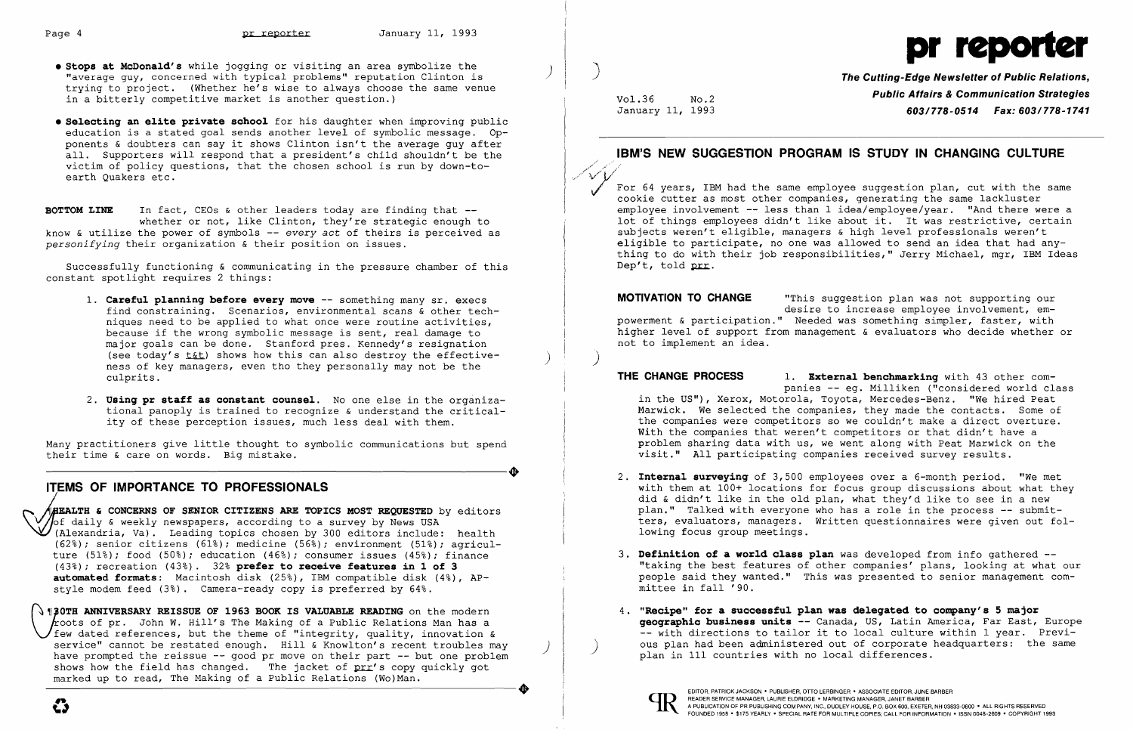

- Stops at McDonald's while jogging or visiting an area symbolize the **Stops at McDonald's while jogging or visiting an area symbolize the and the concerned with typical problems" reputation Clinton is <b>The Cutting-Edge Ne** trying to project. (Whether he's wise to always choose the same venue in a bitterly competitive market is another question.)
- **• Selecting an elite private school** for his daughter when improving public education is a stated goal sends another level of symbolic message. Opponents & doubters can say it shows Clinton isn't the average guy after all. Supporters will respond that a president's child shouldn't be the victim of policy questions, that the chosen school is run by down-toearth Quakers etc.

**BOTTOM LINE** In fact, CEOs & other leaders today are finding that -whether or not, like Clinton, they're strategic enough to know & utilize the power of symbols -- *every act* of theirs is perceived as *personifying* their organization & their position on issues.

- 1. **Careful planning before every move** -- something many sr. execs find constraining. Scenarios, environmental scans & other techniques need to be applied to what once were routine activities, because if the wrong symbolic message is sent, real damage to major goals can be done. Stanford pres. Kennedy's resignation (see today's  $t$ &t) shows how this can also destroy the effectiveness of key managers, even tho they personally may not be the culprits.
- 2. **Using pr staff as constant counsel.** No one else in the organizational panoply is trained to recognize & understand the criticality of these perception issues, much less deal with them.

Many practitioners give little thought to symbolic communications but spend<br>
their time & care on words. Big mistake. their time & care on words. Big mistake.

Successfully functioning & communicating in the pressure chamber of this constant spotlight requires 2 things:

**OTH ANNIVERSARY REISSUE OF 1963 BOOK IS VALUABLE READING** on the modern roots of pr. John W. Hill's The Making of a Public Relations Man has a  $'$ few dated references, but the theme of "integrity, quality, innovation &<br>service" cannot be restated enough. Hill & Knowlton's recent troubles may have prompted the reissue  $-$ - good pr move on their part  $-$ - but one problem shows how the field has changed. The jacket of prr's copy quickly got marked up to read, The Making of a Public Relations (Wo)Man. And the reissue -- good pr move on their part --- but one problem<br>shows how the field has changed. The jacket of prr's copy quickly got<br>marked up to read, The Making of a Public Relations (Wo)Man.<br>The such and the state of

**Public Affairs & Communication Strategies**<br>January 11, 1993 **Communication Strategies** January 11, 1993 *603/778-0514 Fax: 603/778-1741* 

### **ITEMS OF IMPORTANCE TO PROFESSIONALS**  j

EALTH **& CONCERNS OF SENIOR CITIZENS ARE TOPICS MOST REQUESTED** by editors  $\sqrt{\frac{1}{6}}$  daily & weekly newspapers, according to a survey by News USA (Alexandria, Va). Leading topics chosen by 300 editors include: health (62%); senior citizens (61%); medicine (56%); environment (51%); agriculture (51%); food (50%); education (46%); consumer issues (45%); finance (43%); recreation (43%). 32% **prefer to receive features in 1 of 3 automated formats:** Macintosh disk (25%), IBM compatible disk (4%), APstyle modem feed (3%). Camera-ready copy is preferred by 64%.

> **geographic business units** -- Canada, US, Latin America, Far East, Europe -- with directions to tailor it to local culture within 1 year. Previ ous plan had been administered out of corporate headquarters: the same

## **IBM'S NEW SUGGESTION PROGRAM IS STUDY IN CHANGING CULTURE**

For 64 years, IBM had the same employee suggestion plan, cut with the same cookie cutter as most other companies, generating the same lackluster employee involvement -- less than 1 idea/employee/year. "And there were a lot of things employees didn't like about it. It was restrictive, certain subjects weren't eligible, managers & high level professionals weren't eligible to participate, no one was allowed to send an idea that had anything to do with their job responsibilities," Jerry Michael, mgr, IBM Ideas Dep't, told prr.

desire to increase employee involvement, em-

**MOTIVATION TO CHANGE** "This suggestion plan was not supporting our powerment & participation." Needed was something simpler, faster, with higher level of support from management & evaluators who decide whether or not to implement an idea.

)

**THE CHANGE PROCESS 1. External benchmarking** with 43 other companies -- eg. Milliken ("considered world class in the US"), Xerox, Motorola, Toyota, Mercedes-Benz. "We hired Peat Marwick. We selected the companies, they made the contacts. Some of the companies were competitors so we couldn't make a direct overture. With the companies that weren't competitors or that didn't have a problem sharing data with us, we went along with Peat Marwick on the visit." All participating companies received survey results.

with them at 100+ locations for focus group discussions about what they did & didn't like in the old plan, what they'd like to see in a new plan." Talked with everyone who has a role in the process -- submitters, evaluators, managers. Written questionnaires were given out fol-

- 2. **Internal surveying** of 3,500 employees over a 6-month period. "We met lowing focus group meetings.
- 3. **Definition of a world class plan** was developed from info gathered mittee in fall '90.
- 4. **"Recipe" for a successful plan was delegated to company's 5 major**  plan in 111 countries with no local differences.



"taking the best features of other companies' plans, looking at what our people said they wanted." This was presented to senior management com-